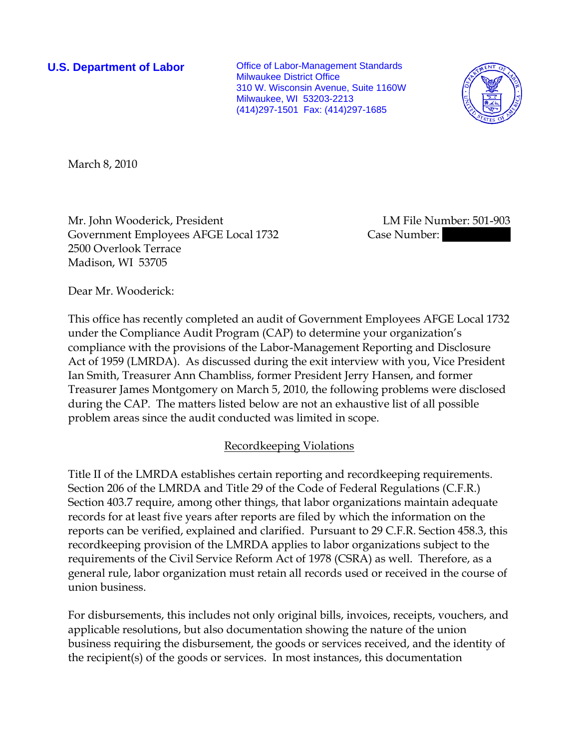**U.S. Department of Labor Conservative Conservative Conservative Conservative Conservative Conservative Conservative Conservative Conservative Conservative Conservative Conservative Conservative Conservative Conservative** Milwaukee District Office 310 W. Wisconsin Avenue, Suite 1160W Milwaukee, WI 53203-2213 (414)297-1501 Fax: (414)297-1685



March 8, 2010

Mr. John Wooderick, President LM File Number: 501-903 Government Employees AFGE Local 1732 Case Number: 2500 Overlook Terrace Madison, WI 53705

Dear Mr. Wooderick:

This office has recently completed an audit of Government Employees AFGE Local 1732 under the Compliance Audit Program (CAP) to determine your organization's compliance with the provisions of the Labor-Management Reporting and Disclosure Act of 1959 (LMRDA). As discussed during the exit interview with you, Vice President Ian Smith, Treasurer Ann Chambliss, former President Jerry Hansen, and former Treasurer James Montgomery on March 5, 2010, the following problems were disclosed during the CAP. The matters listed below are not an exhaustive list of all possible problem areas since the audit conducted was limited in scope.

# Recordkeeping Violations

Title II of the LMRDA establishes certain reporting and recordkeeping requirements. Section 206 of the LMRDA and Title 29 of the Code of Federal Regulations (C.F.R.) Section 403.7 require, among other things, that labor organizations maintain adequate records for at least five years after reports are filed by which the information on the reports can be verified, explained and clarified. Pursuant to 29 C.F.R. Section 458.3, this recordkeeping provision of the LMRDA applies to labor organizations subject to the requirements of the Civil Service Reform Act of 1978 (CSRA) as well. Therefore, as a general rule, labor organization must retain all records used or received in the course of union business.

For disbursements, this includes not only original bills, invoices, receipts, vouchers, and applicable resolutions, but also documentation showing the nature of the union business requiring the disbursement, the goods or services received, and the identity of the recipient(s) of the goods or services. In most instances, this documentation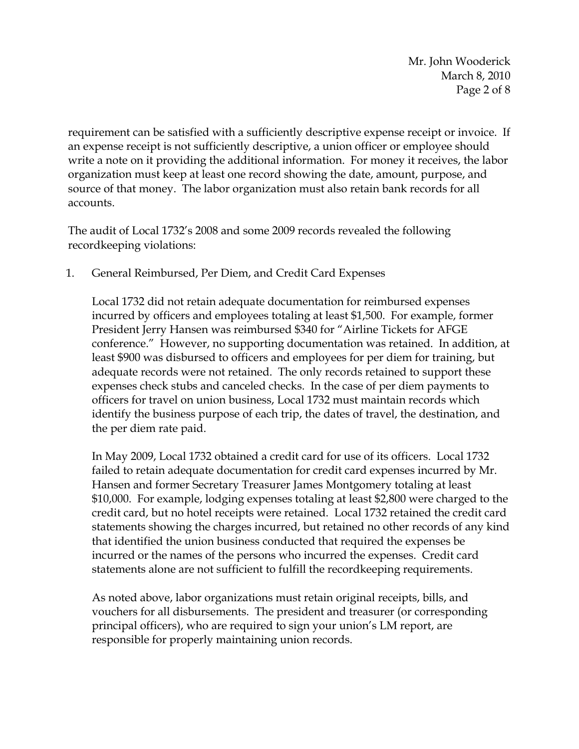Mr. John Wooderick March 8, 2010 Page 2 of 8

requirement can be satisfied with a sufficiently descriptive expense receipt or invoice. If an expense receipt is not sufficiently descriptive, a union officer or employee should write a note on it providing the additional information. For money it receives, the labor organization must keep at least one record showing the date, amount, purpose, and source of that money. The labor organization must also retain bank records for all accounts.

The audit of Local 1732's 2008 and some 2009 records revealed the following recordkeeping violations:

# 1. General Reimbursed, Per Diem, and Credit Card Expenses

Local 1732 did not retain adequate documentation for reimbursed expenses incurred by officers and employees totaling at least \$1,500. For example, former President Jerry Hansen was reimbursed \$340 for "Airline Tickets for AFGE conference." However, no supporting documentation was retained. In addition, at least \$900 was disbursed to officers and employees for per diem for training, but adequate records were not retained. The only records retained to support these expenses check stubs and canceled checks. In the case of per diem payments to officers for travel on union business, Local 1732 must maintain records which identify the business purpose of each trip, the dates of travel, the destination, and the per diem rate paid.

In May 2009, Local 1732 obtained a credit card for use of its officers. Local 1732 failed to retain adequate documentation for credit card expenses incurred by Mr. Hansen and former Secretary Treasurer James Montgomery totaling at least \$10,000. For example, lodging expenses totaling at least \$2,800 were charged to the credit card, but no hotel receipts were retained. Local 1732 retained the credit card statements showing the charges incurred, but retained no other records of any kind that identified the union business conducted that required the expenses be incurred or the names of the persons who incurred the expenses. Credit card statements alone are not sufficient to fulfill the recordkeeping requirements.

As noted above, labor organizations must retain original receipts, bills, and vouchers for all disbursements. The president and treasurer (or corresponding principal officers), who are required to sign your union's LM report, are responsible for properly maintaining union records.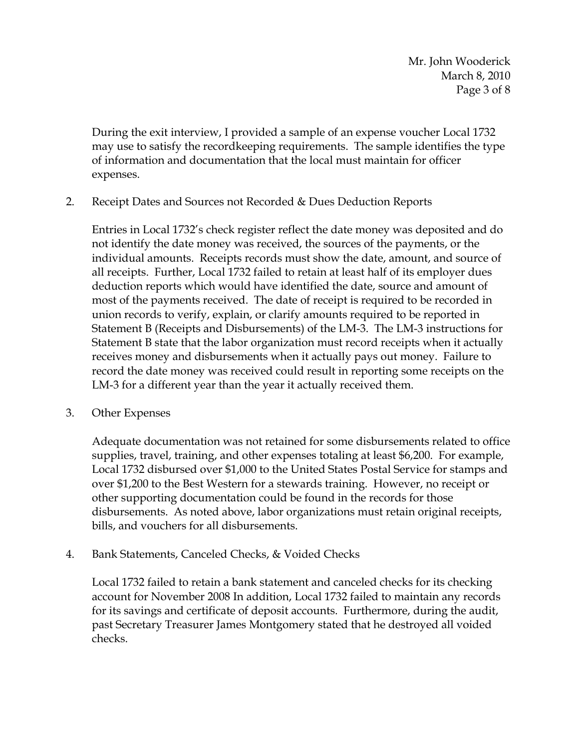Mr. John Wooderick March 8, 2010 Page 3 of 8

During the exit interview, I provided a sample of an expense voucher Local 1732 may use to satisfy the recordkeeping requirements. The sample identifies the type of information and documentation that the local must maintain for officer expenses.

2. Receipt Dates and Sources not Recorded & Dues Deduction Reports

Entries in Local 1732's check register reflect the date money was deposited and do not identify the date money was received, the sources of the payments, or the individual amounts. Receipts records must show the date, amount, and source of all receipts. Further, Local 1732 failed to retain at least half of its employer dues deduction reports which would have identified the date, source and amount of most of the payments received. The date of receipt is required to be recorded in union records to verify, explain, or clarify amounts required to be reported in Statement B (Receipts and Disbursements) of the LM-3. The LM-3 instructions for Statement B state that the labor organization must record receipts when it actually receives money and disbursements when it actually pays out money. Failure to record the date money was received could result in reporting some receipts on the LM-3 for a different year than the year it actually received them.

3. Other Expenses

Adequate documentation was not retained for some disbursements related to office supplies, travel, training, and other expenses totaling at least \$6,200. For example, Local 1732 disbursed over \$1,000 to the United States Postal Service for stamps and over \$1,200 to the Best Western for a stewards training. However, no receipt or other supporting documentation could be found in the records for those disbursements. As noted above, labor organizations must retain original receipts, bills, and vouchers for all disbursements.

4. Bank Statements, Canceled Checks, & Voided Checks

Local 1732 failed to retain a bank statement and canceled checks for its checking account for November 2008 In addition, Local 1732 failed to maintain any records for its savings and certificate of deposit accounts. Furthermore, during the audit, past Secretary Treasurer James Montgomery stated that he destroyed all voided checks.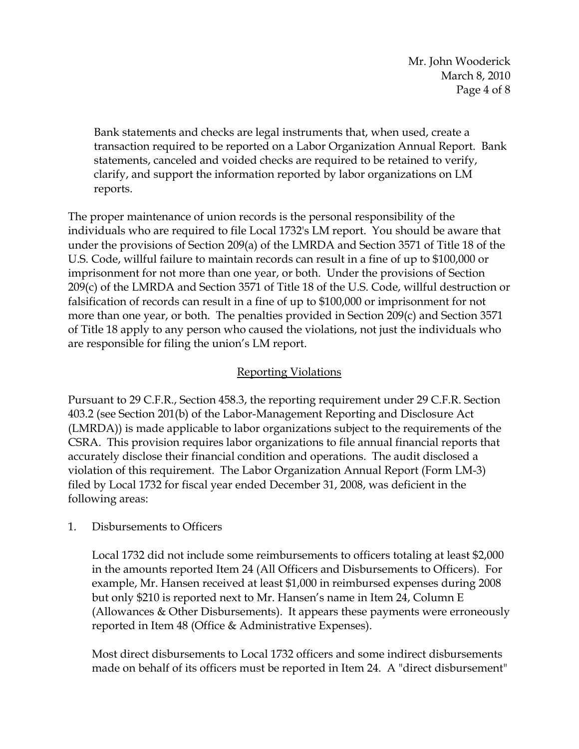Mr. John Wooderick March 8, 2010 Page 4 of 8

Bank statements and checks are legal instruments that, when used, create a transaction required to be reported on a Labor Organization Annual Report. Bank statements, canceled and voided checks are required to be retained to verify, clarify, and support the information reported by labor organizations on LM reports.

The proper maintenance of union records is the personal responsibility of the individuals who are required to file Local 1732's LM report. You should be aware that under the provisions of Section 209(a) of the LMRDA and Section 3571 of Title 18 of the U.S. Code, willful failure to maintain records can result in a fine of up to \$100,000 or imprisonment for not more than one year, or both. Under the provisions of Section 209(c) of the LMRDA and Section 3571 of Title 18 of the U.S. Code, willful destruction or falsification of records can result in a fine of up to \$100,000 or imprisonment for not more than one year, or both. The penalties provided in Section 209(c) and Section 3571 of Title 18 apply to any person who caused the violations, not just the individuals who are responsible for filing the union's LM report.

# Reporting Violations

Pursuant to 29 C.F.R., Section 458.3, the reporting requirement under 29 C.F.R. Section 403.2 (see Section 201(b) of the Labor-Management Reporting and Disclosure Act (LMRDA)) is made applicable to labor organizations subject to the requirements of the CSRA. This provision requires labor organizations to file annual financial reports that accurately disclose their financial condition and operations. The audit disclosed a violation of this requirement. The Labor Organization Annual Report (Form LM-3) filed by Local 1732 for fiscal year ended December 31, 2008, was deficient in the following areas:

### 1. Disbursements to Officers

Local 1732 did not include some reimbursements to officers totaling at least \$2,000 in the amounts reported Item 24 (All Officers and Disbursements to Officers). For example, Mr. Hansen received at least \$1,000 in reimbursed expenses during 2008 but only \$210 is reported next to Mr. Hansen's name in Item 24, Column E (Allowances & Other Disbursements). It appears these payments were erroneously reported in Item 48 (Office & Administrative Expenses).

Most direct disbursements to Local 1732 officers and some indirect disbursements made on behalf of its officers must be reported in Item 24. A "direct disbursement"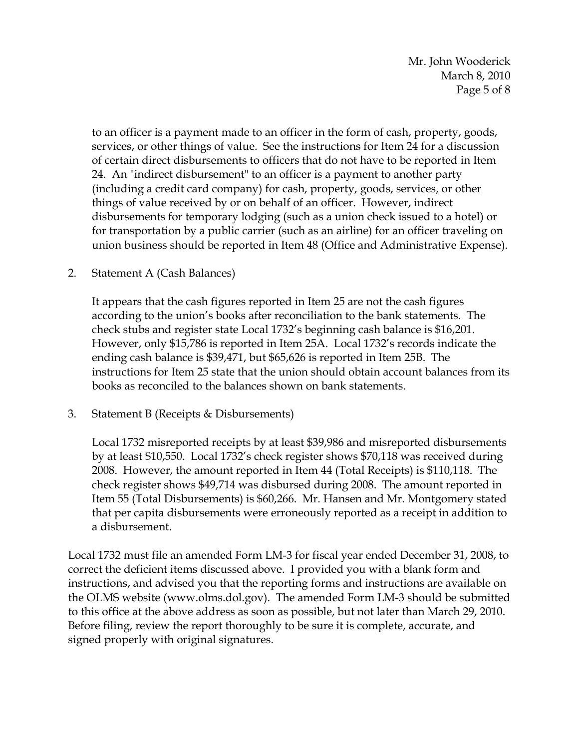Mr. John Wooderick March 8, 2010 Page 5 of 8

to an officer is a payment made to an officer in the form of cash, property, goods, services, or other things of value. See the instructions for Item 24 for a discussion of certain direct disbursements to officers that do not have to be reported in Item 24. An "indirect disbursement" to an officer is a payment to another party (including a credit card company) for cash, property, goods, services, or other things of value received by or on behalf of an officer. However, indirect disbursements for temporary lodging (such as a union check issued to a hotel) or for transportation by a public carrier (such as an airline) for an officer traveling on union business should be reported in Item 48 (Office and Administrative Expense).

### 2. Statement A (Cash Balances)

It appears that the cash figures reported in Item 25 are not the cash figures according to the union's books after reconciliation to the bank statements. The check stubs and register state Local 1732's beginning cash balance is \$16,201. However, only \$15,786 is reported in Item 25A. Local 1732's records indicate the ending cash balance is \$39,471, but \$65,626 is reported in Item 25B. The instructions for Item 25 state that the union should obtain account balances from its books as reconciled to the balances shown on bank statements.

3. Statement B (Receipts & Disbursements)

Local 1732 misreported receipts by at least \$39,986 and misreported disbursements by at least \$10,550. Local 1732's check register shows \$70,118 was received during 2008. However, the amount reported in Item 44 (Total Receipts) is \$110,118. The check register shows \$49,714 was disbursed during 2008. The amount reported in Item 55 (Total Disbursements) is \$60,266. Mr. Hansen and Mr. Montgomery stated that per capita disbursements were erroneously reported as a receipt in addition to a disbursement.

Local 1732 must file an amended Form LM-3 for fiscal year ended December 31, 2008, to correct the deficient items discussed above. I provided you with a blank form and instructions, and advised you that the reporting forms and instructions are available on the OLMS website (www.olms.dol.gov). The amended Form LM-3 should be submitted to this office at the above address as soon as possible, but not later than March 29, 2010. Before filing, review the report thoroughly to be sure it is complete, accurate, and signed properly with original signatures.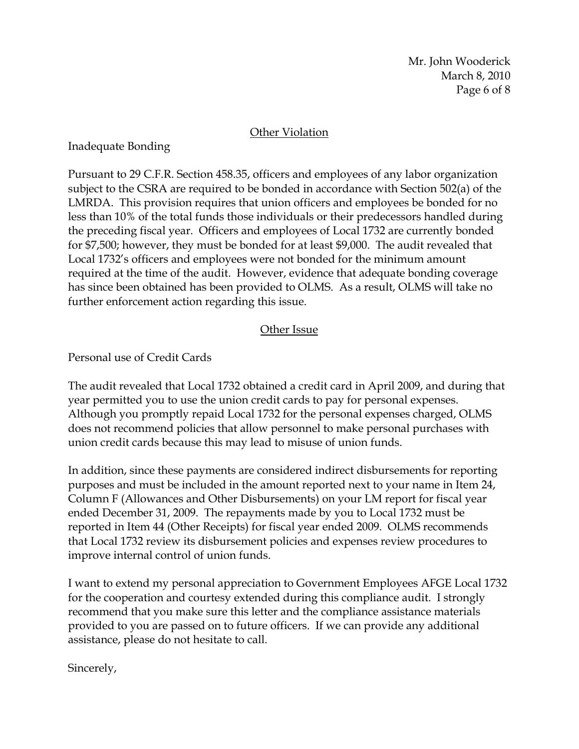Mr. John Wooderick March 8, 2010 Page 6 of 8

#### **Other Violation**

Inadequate Bonding

Pursuant to 29 C.F.R. Section 458.35, officers and employees of any labor organization subject to the CSRA are required to be bonded in accordance with Section 502(a) of the LMRDA. This provision requires that union officers and employees be bonded for no less than 10% of the total funds those individuals or their predecessors handled during the preceding fiscal year. Officers and employees of Local 1732 are currently bonded for \$7,500; however, they must be bonded for at least \$9,000. The audit revealed that Local 1732's officers and employees were not bonded for the minimum amount required at the time of the audit. However, evidence that adequate bonding coverage has since been obtained has been provided to OLMS. As a result, OLMS will take no further enforcement action regarding this issue.

### Other Issue

Personal use of Credit Cards

The audit revealed that Local 1732 obtained a credit card in April 2009, and during that year permitted you to use the union credit cards to pay for personal expenses. Although you promptly repaid Local 1732 for the personal expenses charged, OLMS does not recommend policies that allow personnel to make personal purchases with union credit cards because this may lead to misuse of union funds.

In addition, since these payments are considered indirect disbursements for reporting purposes and must be included in the amount reported next to your name in Item 24, Column F (Allowances and Other Disbursements) on your LM report for fiscal year ended December 31, 2009. The repayments made by you to Local 1732 must be reported in Item 44 (Other Receipts) for fiscal year ended 2009. OLMS recommends that Local 1732 review its disbursement policies and expenses review procedures to improve internal control of union funds.

I want to extend my personal appreciation to Government Employees AFGE Local 1732 for the cooperation and courtesy extended during this compliance audit. I strongly recommend that you make sure this letter and the compliance assistance materials provided to you are passed on to future officers. If we can provide any additional assistance, please do not hesitate to call.

Sincerely,